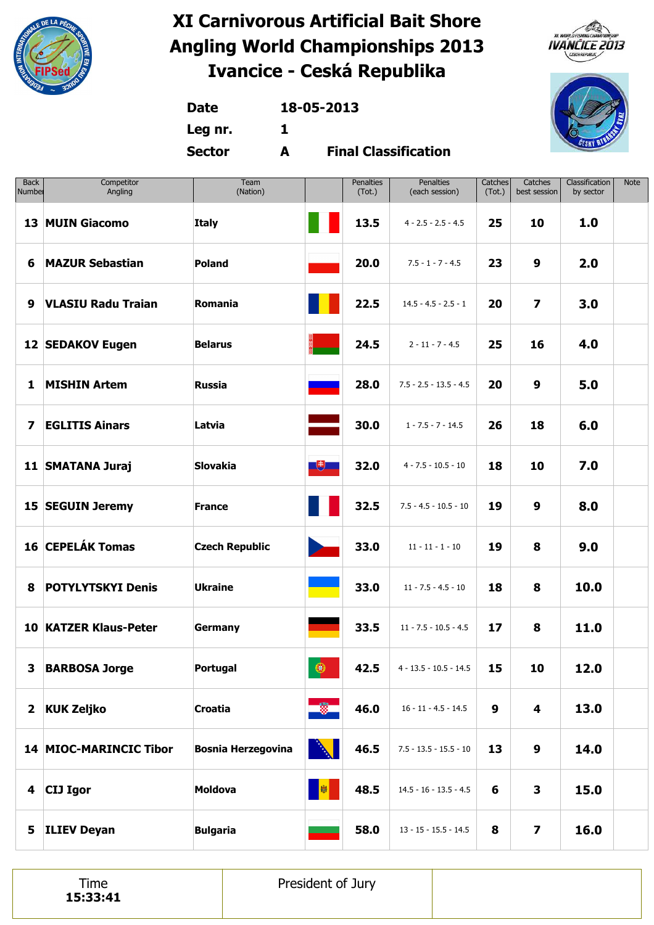





**Date 18-05-2013**

**Leg nr. 1**

**Sector A**

**Final Classification**

| <b>Back</b><br>Number | Competitor<br>Angling        | Team<br>(Nation)          |                        | Penalties<br>(Tot.) | Penalties<br>(each session) | Catches<br>(Tot.) | Catches<br>best session | Classification<br>by sector | <b>Note</b> |
|-----------------------|------------------------------|---------------------------|------------------------|---------------------|-----------------------------|-------------------|-------------------------|-----------------------------|-------------|
|                       | 13 MUIN Giacomo              | <b>Italy</b>              |                        | 13.5                | $4 - 2.5 - 2.5 - 4.5$       | 25                | 10                      | 1.0                         |             |
| 6                     | <b>MAZUR Sebastian</b>       | Poland                    |                        | 20.0                | $7.5 - 1 - 7 - 4.5$         | 23                | 9                       | 2.0                         |             |
| 9                     | <b>VLASIU Radu Traian</b>    | Romania                   |                        | 22.5                | $14.5 - 4.5 - 2.5 - 1$      | 20                | $\overline{\mathbf{z}}$ | 3.0                         |             |
|                       | <b>12 SEDAKOV Eugen</b>      | <b>Belarus</b>            |                        | 24.5                | $2 - 11 - 7 - 4.5$          | 25                | 16                      | 4.0                         |             |
| 1                     | <b>MISHIN Artem</b>          | <b>Russia</b>             |                        | 28.0                | $7.5 - 2.5 - 13.5 - 4.5$    | 20                | 9                       | 5.0                         |             |
| $\boldsymbol{7}$      | <b>EGLITIS Ainars</b>        | Latvia                    |                        | 30.0                | $1 - 7.5 - 7 - 14.5$        | 26                | 18                      | 6.0                         |             |
|                       | 11 SMATANA Juraj             | <b>Slovakia</b>           | $\Box$                 | 32.0                | $4 - 7.5 - 10.5 - 10$       | 18                | 10                      | 7.0                         |             |
|                       | 15 SEGUIN Jeremy             | <b>France</b>             |                        | 32.5                | $7.5 - 4.5 - 10.5 - 10$     | 19                | 9                       | 8.0                         |             |
|                       | 16 CEPELÁK Tomas             | <b>Czech Republic</b>     | $\blacktriangleright$  | 33.0                | $11 - 11 - 1 - 10$          | 19                | 8                       | 9.0                         |             |
| 8                     | <b>POTYLYTSKYI Denis</b>     | <b>Ukraine</b>            | <b>Service Service</b> | 33.0                | $11 - 7.5 - 4.5 - 10$       | 18                | 8                       | 10.0                        |             |
|                       | <b>10 KATZER Klaus-Peter</b> | <b>Germany</b>            |                        | 33.5                | $11 - 7.5 - 10.5 - 4.5$     | 17                | 8                       | 11.0                        |             |
|                       | 3 BARBOSA Jorge              | <b>Portugal</b>           | $\bullet$              | 42.5                | $4 - 13.5 - 10.5 - 14.5$    | 15                | 10                      | 12.0                        |             |
|                       | 2 KUK Zeljko                 | <b>Croatia</b>            | 一篇                     | 46.0                | $16 - 11 - 4.5 - 14.5$      | 9                 | 4                       | 13.0                        |             |
|                       | 14 MIOC-MARINCIC Tibor       | <b>Bosnia Herzegovina</b> | <b>AND</b>             | 46.5                | $7.5 - 13.5 - 15.5 - 10$    | 13                | 9                       | 14.0                        |             |
|                       | 4 CIJ Igor                   | <b>Moldova</b>            | 图                      | 48.5                | $14.5 - 16 - 13.5 - 4.5$    | 6                 | 3                       | 15.0                        |             |
| 5                     | <b>ILIEV Deyan</b>           | <b>Bulgaria</b>           |                        | 58.0                | $13 - 15 - 15.5 - 14.5$     | 8                 | $\overline{\mathbf{z}}$ | 16.0                        |             |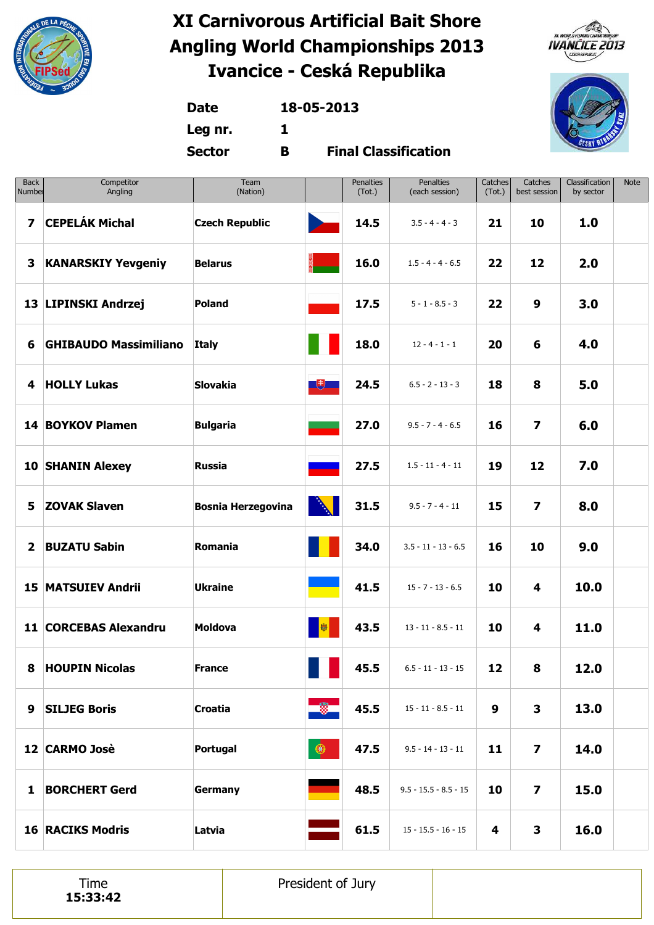





**Date 18-05-2013**

**Leg nr. 1**

**Sector B**

**Final Classification**

| <b>Back</b><br>Number | Competitor<br>Angling        | Team<br>(Nation)          |                    | <b>Penalties</b><br>(Tot.) | Penalties<br>(each session) | Catches<br>(Tot.) | Catches<br>best session | Classification<br>by sector | Note |
|-----------------------|------------------------------|---------------------------|--------------------|----------------------------|-----------------------------|-------------------|-------------------------|-----------------------------|------|
| $\overline{ }$        | <b>CEPELÁK Michal</b>        | <b>Czech Republic</b>     | <b>Designation</b> | 14.5                       | $3.5 - 4 - 4 - 3$           | 21                | 10                      | 1.0                         |      |
| 3                     | <b>KANARSKIY Yevgeniy</b>    | <b>Belarus</b>            |                    | 16.0                       | $1.5 - 4 - 4 - 6.5$         | 22                | 12                      | 2.0                         |      |
|                       | 13 LIPINSKI Andrzej          | <b>Poland</b>             |                    | 17.5                       | $5 - 1 - 8.5 - 3$           | 22                | 9                       | 3.0                         |      |
| 6                     | <b>GHIBAUDO Massimiliano</b> | <b>Italy</b>              |                    | 18.0                       | $12 - 4 - 1 - 1$            | 20                | 6                       | 4.0                         |      |
|                       | 4 HOLLY Lukas                | <b>Slovakia</b>           | 飞                  | 24.5                       | $6.5 - 2 - 13 - 3$          | 18                | 8                       | 5.0                         |      |
|                       | 14 BOYKOV Plamen             | <b>Bulgaria</b>           |                    | 27.0                       | $9.5 - 7 - 4 - 6.5$         | 16                | $\overline{\mathbf{z}}$ | 6.0                         |      |
|                       | <b>10 SHANIN Alexey</b>      | <b>Russia</b>             |                    | 27.5                       | $1.5 - 11 - 4 - 11$         | 19                | 12                      | 7.0                         |      |
| 5                     | <b>ZOVAK Slaven</b>          | <b>Bosnia Herzegovina</b> | <b>Allen</b>       | 31.5                       | $9.5 - 7 - 4 - 11$          | 15                | $\overline{\mathbf{z}}$ | 8.0                         |      |
| $\overline{2}$        | <b>BUZATU Sabin</b>          | Romania                   |                    | 34.0                       | $3.5 - 11 - 13 - 6.5$       | 16                | 10                      | 9.0                         |      |
|                       | <b>15 MATSUIEV Andrii</b>    | <b>Ukraine</b>            |                    | 41.5                       | $15 - 7 - 13 - 6.5$         | 10                | 4                       | 10.0                        |      |
|                       | 11 CORCEBAS Alexandru        | <b>Moldova</b>            | 囐                  | 43.5                       | $13 - 11 - 8.5 - 11$        | 10                | 4                       | 11.0                        |      |
|                       | 8 HOUPIN Nicolas             | <b>France</b>             | an an              | 45.5                       | $6.5 - 11 - 13 - 15$        | 12                | 8                       | 12.0                        |      |
| 9                     | <b>SILJEG Boris</b>          | <b>Croatia</b>            | <b>B</b>           | 45.5                       | $15 - 11 - 8.5 - 11$        | 9                 | 3                       | 13.0                        |      |
|                       | 12 CARMO Josè                | Portugal                  | $\circledast$      | 47.5                       | $9.5 - 14 - 13 - 11$        | 11                | $\overline{\mathbf{z}}$ | 14.0                        |      |
|                       | 1 BORCHERT Gerd              | <b>Germany</b>            |                    | 48.5                       | $9.5 - 15.5 - 8.5 - 15$     | 10                | $\overline{\mathbf{z}}$ | 15.0                        |      |
|                       | <b>16 RACIKS Modris</b>      | Latvia                    |                    | 61.5                       | $15 - 15.5 - 16 - 15$       | 4                 | 3                       | 16.0                        |      |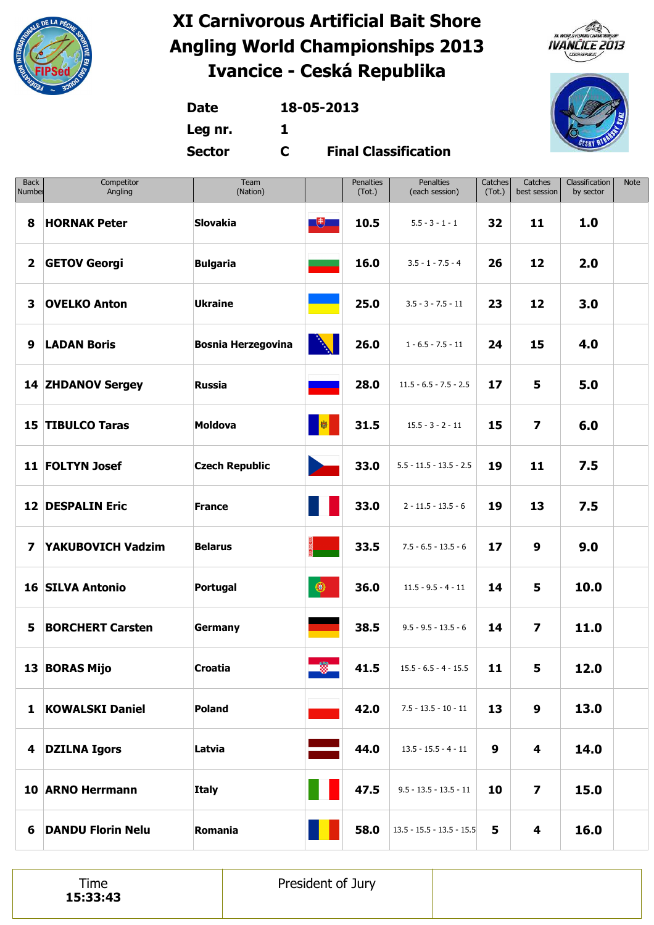





**Date 18-05-2013**

**Leg nr. 1**

**Sector C**

**Final Classification**

| <b>Back</b><br>Number   | Competitor<br>Angling    | Team<br>(Nation)          |            | Penalties<br>(Tot.) | <b>Penalties</b><br>(each session) | Catches<br>(Tot.) | Catches<br>best session | Classification<br>by sector | <b>Note</b> |
|-------------------------|--------------------------|---------------------------|------------|---------------------|------------------------------------|-------------------|-------------------------|-----------------------------|-------------|
| 8                       | <b>HORNAK Peter</b>      | <b>Slovakia</b>           | $\Box$     | 10.5                | $5.5 - 3 - 1 - 1$                  | 32                | 11                      | 1.0                         |             |
| $\overline{\mathbf{2}}$ | <b>GETOV Georgi</b>      | <b>Bulgaria</b>           |            | 16.0                | $3.5 - 1 - 7.5 - 4$                | 26                | 12                      | 2.0                         |             |
| 3                       | <b>OVELKO Anton</b>      | <b>Ukraine</b>            |            | 25.0                | $3.5 - 3 - 7.5 - 11$               | 23                | 12                      | 3.0                         |             |
| 9                       | <b>LADAN Boris</b>       | <b>Bosnia Herzegovina</b> | Ŋ          | 26.0                | $1 - 6.5 - 7.5 - 11$               | 24                | 15                      | 4.0                         |             |
|                         | <b>14 ZHDANOV Sergey</b> | <b>Russia</b>             |            | 28.0                | $11.5 - 6.5 - 7.5 - 2.5$           | 17                | 5                       | 5.0                         |             |
|                         | <b>15 TIBULCO Taras</b>  | <b>Moldova</b>            | 劇          | 31.5                | $15.5 - 3 - 2 - 11$                | 15                | $\overline{\mathbf{z}}$ | 6.0                         |             |
|                         | 11 FOLTYN Josef          | <b>Czech Republic</b>     |            | 33.0                | $5.5 - 11.5 - 13.5 - 2.5$          | 19                | 11                      | 7.5                         |             |
|                         | <b>12 DESPALIN Eric</b>  | <b>France</b>             |            | 33.0                | $2 - 11.5 - 13.5 - 6$              | 19                | 13                      | 7.5                         |             |
| $\overline{\mathbf{z}}$ | YAKUBOVICH Vadzim        | <b>Belarus</b>            |            | 33.5                | $7.5 - 6.5 - 13.5 - 6$             | 17                | 9                       | 9.0                         |             |
|                         | <b>16 SILVA Antonio</b>  | Portugal                  | $\bigcirc$ | 36.0                | $11.5 - 9.5 - 4 - 11$              | 14                | 5                       | 10.0                        |             |
| 5                       | <b>BORCHERT Carsten</b>  | Germany                   |            | 38.5                | $9.5 - 9.5 - 13.5 - 6$             | 14                | $\overline{\mathbf{z}}$ | 11.0                        |             |
|                         | 13 BORAS Mijo            | Croatia                   | 圈          | 41.5                | $15.5 - 6.5 - 4 - 15.5$            | 11                | 5.                      | 12.0                        |             |
|                         | 1 KOWALSKI Daniel        | <b>Poland</b>             |            | 42.0                | $7.5 - 13.5 - 10 - 11$             | 13                | 9                       | 13.0                        |             |
|                         | 4 DZILNA Igors           | Latvia                    |            | 44.0                | $13.5 - 15.5 - 4 - 11$             | 9                 | 4                       | 14.0                        |             |
|                         | 10 ARNO Herrmann         | <b>Italy</b>              |            | 47.5                | $9.5 - 13.5 - 13.5 - 11$           | 10                | $\overline{\mathbf{z}}$ | 15.0                        |             |
| 6                       | <b>DANDU Florin Nelu</b> | Romania                   |            | 58.0                | $13.5 - 15.5 - 13.5 - 15.5$        | 5                 | 4                       | 16.0                        |             |

Time **15:33:43** President of Jury